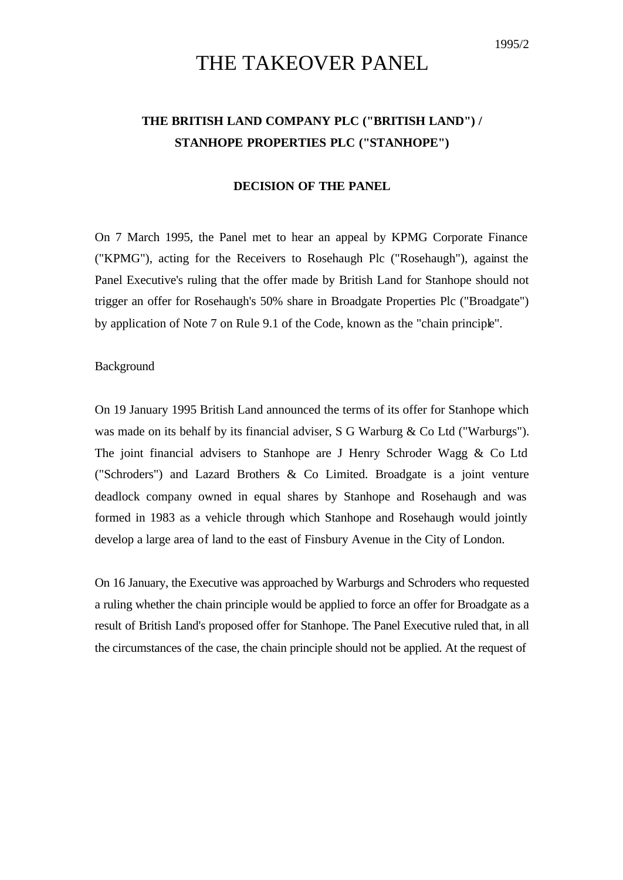# THE TAKEOVER PANEL

## **THE BRITISH LAND COMPANY PLC ("BRITISH LAND") / STANHOPE PROPERTIES PLC ("STANHOPE")**

#### **DECISION OF THE PANEL**

On 7 March 1995, the Panel met to hear an appeal by KPMG Corporate Finance ("KPMG"), acting for the Receivers to Rosehaugh Plc ("Rosehaugh"), against the Panel Executive's ruling that the offer made by British Land for Stanhope should not trigger an offer for Rosehaugh's 50% share in Broadgate Properties Plc ("Broadgate") by application of Note 7 on Rule 9.1 of the Code, known as the "chain principle".

#### Background

On 19 January 1995 British Land announced the terms of its offer for Stanhope which was made on its behalf by its financial adviser, S G Warburg & Co Ltd ("Warburgs"). The joint financial advisers to Stanhope are J Henry Schroder Wagg & Co Ltd ("Schroders") and Lazard Brothers & Co Limited. Broadgate is a joint venture deadlock company owned in equal shares by Stanhope and Rosehaugh and was formed in 1983 as a vehicle through which Stanhope and Rosehaugh would jointly develop a large area of land to the east of Finsbury Avenue in the City of London.

On 16 January, the Executive was approached by Warburgs and Schroders who requested a ruling whether the chain principle would be applied to force an offer for Broadgate as a result of British Land's proposed offer for Stanhope. The Panel Executive ruled that, in all the circumstances of the case, the chain principle should not be applied. At the request of